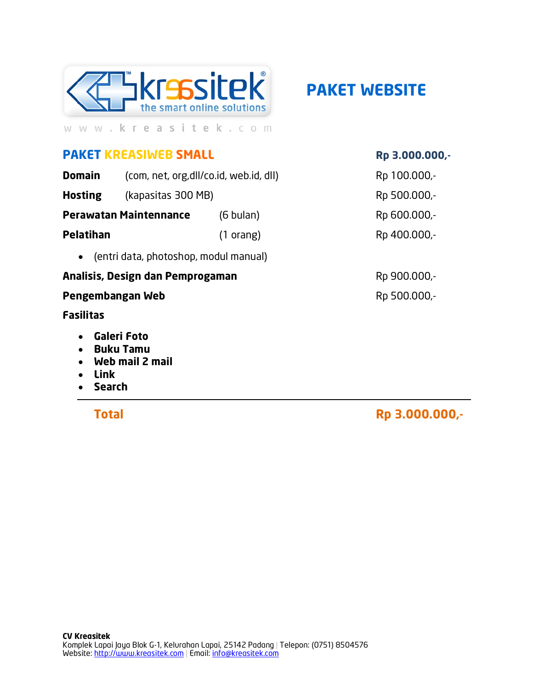

**PAKET WEBSITE** 

# **PAKET KREASIWEB SMALL**

**Domain** (com, net, org, dll/co.id, web.id, dll)

(kapasitas 300 MB) **Hosting** 

**Perawatan Maintennance**  $(6 \text{ bulan})$ 

**Pelatihan** 

 $(1 \text{ orang})$ 

• (entri data, photoshop, modul manual)

### Analisis, Design dan Pemprogaman

#### Pengembangan Web

#### **Fasilitas**

- Galeri Foto  $\bullet$
- **Buku Tamu**
- Web mail 2 mail  $\bullet$
- **Link**
- **Search**

**Total** 

### Rp 3.000.000,-

Rp 100.000,-

Rp 500.000,-

Rp 600.000,-

Rp 400.000,-

Rp 900.000,-Rp 500.000,-

Rp 3.000.000,-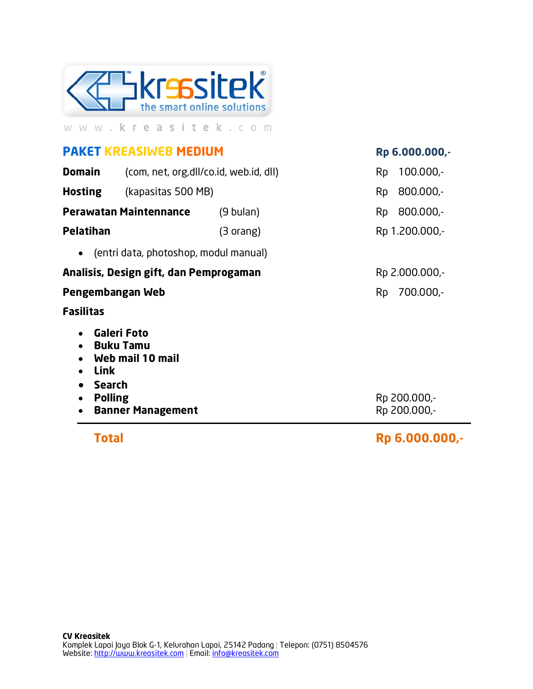

## **PAKET KREASIWEB MEDIUM**

Rp 6.000.000,-

| Total                                                                                                    |                                                                                        |           |    | Rp 6.000.000,-               |  |  |
|----------------------------------------------------------------------------------------------------------|----------------------------------------------------------------------------------------|-----------|----|------------------------------|--|--|
| $\bullet$<br>$\bullet$<br>Link<br>$\bullet$<br><b>Search</b><br><b>Polling</b><br>$\bullet$<br>$\bullet$ | <b>Galeri Foto</b><br><b>Buku Tamu</b><br>Web mail 10 mail<br><b>Banner Management</b> |           |    | Rp 200.000,-<br>Rp 200.000,- |  |  |
| <b>Fasilitas</b>                                                                                         |                                                                                        |           |    |                              |  |  |
| Pengembangan Web                                                                                         |                                                                                        |           | Rp | 700.000,-                    |  |  |
| Analisis, Design gift, dan Pemprogaman                                                                   |                                                                                        |           |    | Rp 2.000.000,-               |  |  |
| $\bullet$                                                                                                | (entri data, photoshop, modul manual)                                                  |           |    |                              |  |  |
| <b>Pelatihan</b>                                                                                         |                                                                                        | (3 orang) |    | Rp 1.200.000,-               |  |  |
| <b>Perawatan Maintennance</b>                                                                            |                                                                                        | (9 bulan) | Rp | 800.000,-                    |  |  |
| <b>Hosting</b>                                                                                           | (kapasitas 500 MB)                                                                     |           | Rp | 800.000,-                    |  |  |
| <b>Domain</b>                                                                                            | (com, net, org, dll/co.id, web.id, dll)                                                |           | Rp | $100.000 -$                  |  |  |

**CV Kreasitek** Komplek Lapai Jaya Blok G-1, Kelurahan Lapai, 25142 Padang | Telepon: (0751) 8504576<br>Website: http://www.kreasitek.com | Email: <u>info@kreasitek.com</u>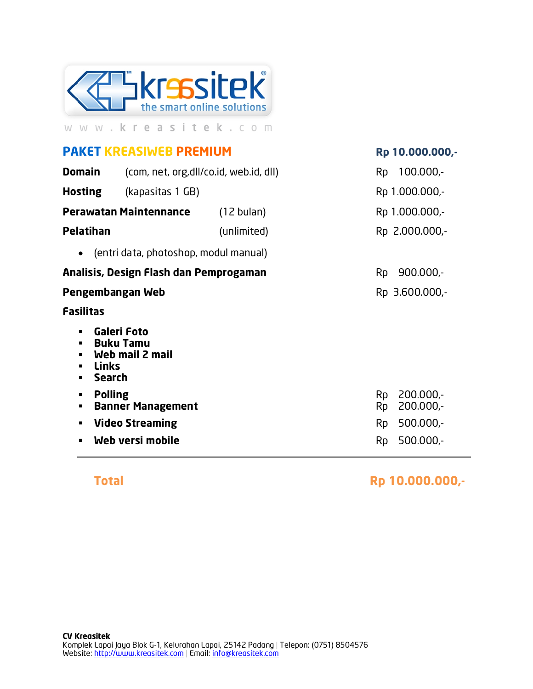

## **PAKET KREASIWEB PREMIUM**

| <b>Domain</b>                                                                                     | (com, net, org, dll/co.id, web.id, dll)            |                      |                               | $100.000 -$                         |
|---------------------------------------------------------------------------------------------------|----------------------------------------------------|----------------------|-------------------------------|-------------------------------------|
| <b>Hosting</b>                                                                                    | (kapasitas 1 GB)                                   |                      |                               | Rp 1.000.000,-                      |
| <b>Perawatan Maintennance</b>                                                                     |                                                    | $(12 \text{ bulan})$ |                               | Rp 1.000.000,-                      |
| <b>Pelatihan</b>                                                                                  |                                                    | (unlimited)          |                               | Rp 2.000.000,-                      |
|                                                                                                   | • (entri data, photoshop, modul manual)            |                      |                               |                                     |
| Analisis, Design Flash dan Pemprogaman                                                            |                                                    |                      | <b>Rp</b>                     | $900.000 -$                         |
| Pengembangan Web                                                                                  |                                                    |                      | Rp 3.600.000,-                |                                     |
| <b>Fasilitas</b>                                                                                  |                                                    |                      |                               |                                     |
| Galeri Foto<br>$\blacksquare$<br><b>Buku Tamu</b><br>п<br><b>Links</b><br>п<br><b>Search</b><br>п | Web mail 2 mail                                    |                      |                               |                                     |
| <b>Polling</b><br>٠<br>٠<br>п                                                                     | <b>Banner Management</b><br><b>Video Streaming</b> |                      | Rp.<br><b>Rp</b><br><b>Rp</b> | 200.000,-<br>200.000,-<br>500.000,- |
| п                                                                                                 | Web versi mobile                                   |                      | <b>Rp</b>                     | $500.000 -$                         |

**Total** 

Rp 10.000.000,-

Rp 10.000.000,-